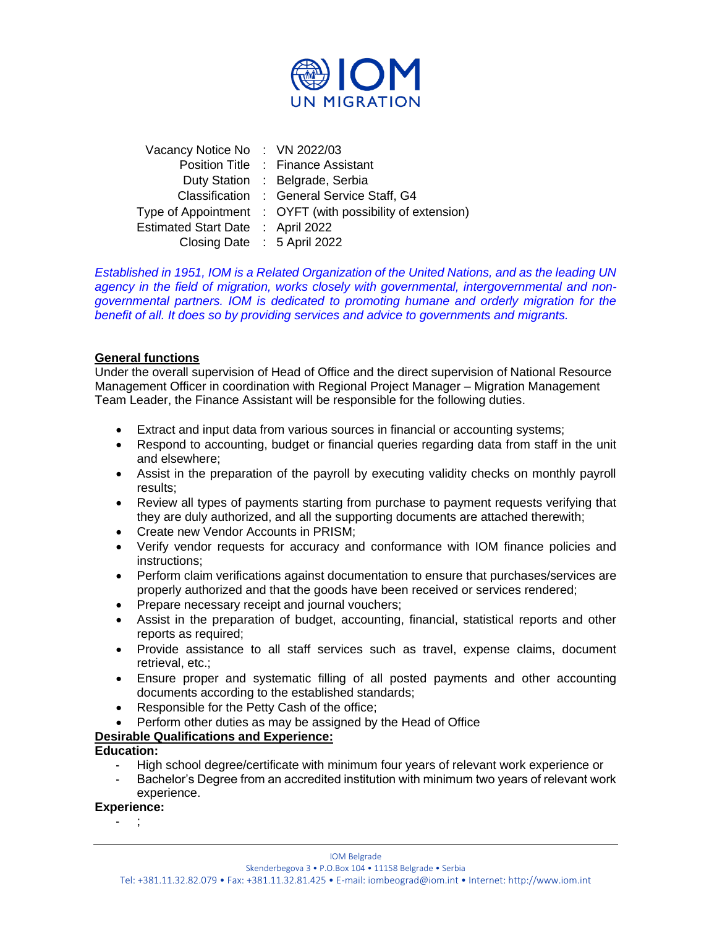

| Vacancy Notice No: VN 2022/03     |                                                            |
|-----------------------------------|------------------------------------------------------------|
|                                   | Position Title : Finance Assistant                         |
|                                   | Duty Station : Belgrade, Serbia                            |
|                                   | Classification : General Service Staff, G4                 |
|                                   | Type of Appointment : OYFT (with possibility of extension) |
| Estimated Start Date : April 2022 |                                                            |
| Closing Date : 5 April 2022       |                                                            |

*Established in 1951, IOM is a Related Organization of the United Nations, and as the leading UN agency in the field of migration, works closely with governmental, intergovernmental and nongovernmental partners. IOM is dedicated to promoting humane and orderly migration for the benefit of all. It does so by providing services and advice to governments and migrants.*

## **General functions**

Under the overall supervision of Head of Office and the direct supervision of National Resource Management Officer in coordination with Regional Project Manager – Migration Management Team Leader, the Finance Assistant will be responsible for the following duties.

- Extract and input data from various sources in financial or accounting systems;
- Respond to accounting, budget or financial queries regarding data from staff in the unit and elsewhere;
- Assist in the preparation of the payroll by executing validity checks on monthly payroll results;
- Review all types of payments starting from purchase to payment requests verifying that they are duly authorized, and all the supporting documents are attached therewith;
- Create new Vendor Accounts in PRISM;
- Verify vendor requests for accuracy and conformance with IOM finance policies and instructions;
- Perform claim verifications against documentation to ensure that purchases/services are properly authorized and that the goods have been received or services rendered;
- Prepare necessary receipt and journal vouchers;
- Assist in the preparation of budget, accounting, financial, statistical reports and other reports as required:
- Provide assistance to all staff services such as travel, expense claims, document retrieval, etc.;
- Ensure proper and systematic filling of all posted payments and other accounting documents according to the established standards;
- Responsible for the Petty Cash of the office;
- Perform other duties as may be assigned by the Head of Office

# **Desirable Qualifications and Experience:**

## **Education:**

- High school degree/certificate with minimum four years of relevant work experience or
- Bachelor's Degree from an accredited institution with minimum two years of relevant work experience.

## **Experience:**

- ;